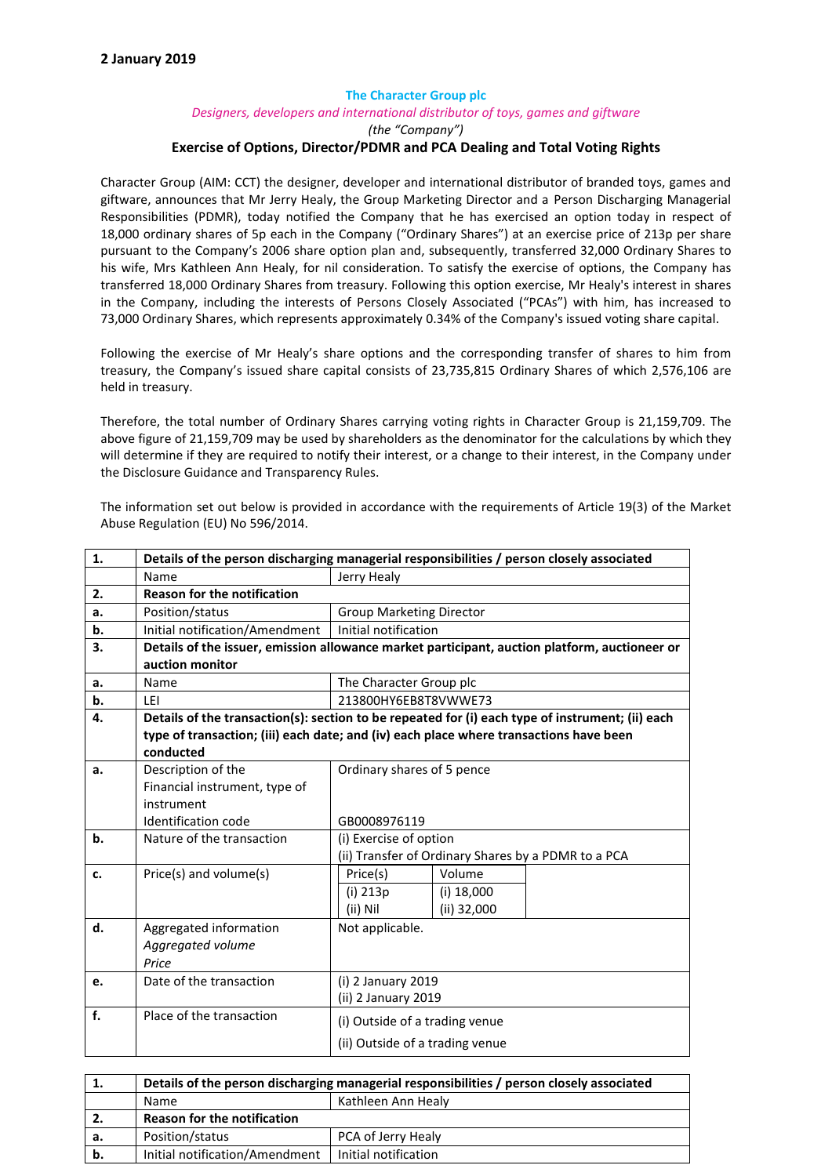## The Character Group plc *Designers, developers and international distributor of toys, games and giftware (the "Company")* Exercise of Options, Director/PDMR and PCA Dealing and Total Voting Rights

Character Group (AIM: CCT) the designer, developer and international distributor of branded toys, games and giftware, announces that Mr Jerry Healy, the Group Marketing Director and a Person Discharging Managerial Responsibilities (PDMR), today notified the Company that he has exercised an option today in respect of 18,000 ordinary shares of 5p each in the Company ("Ordinary Shares") at an exercise price of 213p per share pursuant to the Company's 2006 share option plan and, subsequently, transferred 32,000 Ordinary Shares to his wife, Mrs Kathleen Ann Healy, for nil consideration. To satisfy the exercise of options, the Company has transferred 18,000 Ordinary Shares from treasury. Following this option exercise, Mr Healy's interest in shares in the Company, including the interests of Persons Closely Associated ("PCAs") with him, has increased to 73,000 Ordinary Shares, which represents approximately 0.34% of the Company's issued voting share capital.

Following the exercise of Mr Healy's share options and the corresponding transfer of shares to him from treasury, the Company's issued share capital consists of 23,735,815 Ordinary Shares of which 2,576,106 are held in treasury.

Therefore, the total number of Ordinary Shares carrying voting rights in Character Group is 21,159,709. The above figure of 21,159,709 may be used by shareholders as the denominator for the calculations by which they will determine if they are required to notify their interest, or a change to their interest, in the Company under the Disclosure Guidance and Transparency Rules.

The information set out below is provided in accordance with the requirements of Article 19(3) of the Market Abuse Regulation (EU) No 596/2014.

| 1. | Details of the person discharging managerial responsibilities / person closely associated        |                                                     |  |  |  |  |
|----|--------------------------------------------------------------------------------------------------|-----------------------------------------------------|--|--|--|--|
|    | Name                                                                                             | Jerry Healy                                         |  |  |  |  |
| 2. | <b>Reason for the notification</b>                                                               |                                                     |  |  |  |  |
| a. | Position/status                                                                                  | <b>Group Marketing Director</b>                     |  |  |  |  |
| b. | Initial notification/Amendment                                                                   | Initial notification                                |  |  |  |  |
| 3. | Details of the issuer, emission allowance market participant, auction platform, auctioneer or    |                                                     |  |  |  |  |
|    | auction monitor                                                                                  |                                                     |  |  |  |  |
| a. | Name                                                                                             | The Character Group plc                             |  |  |  |  |
| b. | LEI                                                                                              | 213800HY6EB8T8VWWE73                                |  |  |  |  |
| 4. | Details of the transaction(s): section to be repeated for (i) each type of instrument; (ii) each |                                                     |  |  |  |  |
|    | type of transaction; (iii) each date; and (iv) each place where transactions have been           |                                                     |  |  |  |  |
|    | conducted                                                                                        |                                                     |  |  |  |  |
| a. | Description of the                                                                               | Ordinary shares of 5 pence                          |  |  |  |  |
|    | Financial instrument, type of                                                                    |                                                     |  |  |  |  |
|    | instrument                                                                                       |                                                     |  |  |  |  |
|    | Identification code                                                                              | GB0008976119                                        |  |  |  |  |
| b. | Nature of the transaction                                                                        | (i) Exercise of option                              |  |  |  |  |
|    |                                                                                                  | (ii) Transfer of Ordinary Shares by a PDMR to a PCA |  |  |  |  |
| c. | Price(s) and volume(s)                                                                           | Volume<br>Price(s)                                  |  |  |  |  |
|    |                                                                                                  | $(i)$ 213 $p$<br>$(i)$ 18,000                       |  |  |  |  |
|    |                                                                                                  | (ii) 32,000<br>(ii) Nil                             |  |  |  |  |
| d. | Aggregated information                                                                           | Not applicable.                                     |  |  |  |  |
|    | Aggregated volume                                                                                |                                                     |  |  |  |  |
|    | Price                                                                                            |                                                     |  |  |  |  |
| e. | Date of the transaction                                                                          | (i) 2 January 2019                                  |  |  |  |  |
|    |                                                                                                  | (ii) 2 January 2019                                 |  |  |  |  |
| f. | Place of the transaction                                                                         | (i) Outside of a trading venue                      |  |  |  |  |
|    |                                                                                                  | (ii) Outside of a trading venue                     |  |  |  |  |

| <b>.</b> | Details of the person discharging managerial responsibilities / person closely associated |                      |  |  |  |
|----------|-------------------------------------------------------------------------------------------|----------------------|--|--|--|
|          | Kathleen Ann Healv<br>Name                                                                |                      |  |  |  |
| 2.       | <b>Reason for the notification</b>                                                        |                      |  |  |  |
| а.       | Position/status                                                                           | PCA of Jerry Healy   |  |  |  |
| b.       | Initial notification/Amendment                                                            | Initial notification |  |  |  |